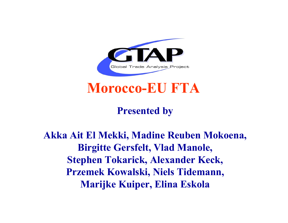

## **Morocco-EU FTA**

## **Presented by**

## **Akka Ait El Mekki, Madine Reuben Mokoena, Birgitte Gersfelt, Vlad Manole, Stephen Tokarick, Alexander Keck, Przemek Kowalski, Niels Tidemann, Marijke Kuiper, Elina Eskola**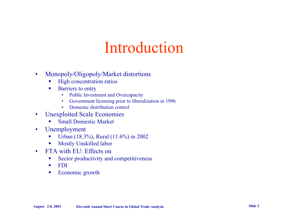# Introduction

- • Monopoly/Oligopoly/Market distortions
	- **D** High concentration ratios
	- $\overline{\phantom{a}}$  Barriers to entry
		- •Public Investment and Overcapacity
		- •Government licensing prior to liberalization in 1996
		- •Domestic distribution control
- $\bullet$  Unexploited Scale Economies
	- Small Domestic Market
- $\bullet$  Unemployment
	- $\blacksquare$ Urban (18.3%), Rural (11.6%) in 2002
	- $\blacksquare$ Mostly Unskilled labor
- • FTA with EU: Effects on
	- $\mathcal{L}_{\mathcal{A}}$ Sector productivity and competitiveness
	- $\blacksquare$ FDI
	- $\mathcal{L}_{\mathcal{A}}$ Economic growth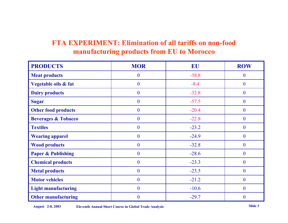### **FTA EXPERIMENT: Elimination of all tariffs on non-food manufacturing products from EU to Morocco**

| <b>PRODUCTS</b>                | <b>MOR</b>       | EU      | <b>ROW</b>       |
|--------------------------------|------------------|---------|------------------|
| <b>Meat products</b>           | $\boldsymbol{0}$ | $-38.8$ | $\boldsymbol{0}$ |
| Vegetable oils & fat           | $\overline{0}$   | $-8.4$  | $\overline{0}$   |
| <b>Dairy products</b>          | $\overline{0}$   | $-32.8$ | $\overline{0}$   |
| <b>Sugar</b>                   | $\boldsymbol{0}$ | $-57.5$ | $\boldsymbol{0}$ |
| <b>Other food products</b>     | $\overline{0}$   | $-20.4$ | $\overline{0}$   |
| <b>Beverages &amp; Tobacco</b> | $\theta$         | $-22.8$ | $\overline{0}$   |
| <b>Textiles</b>                | $\boldsymbol{0}$ | $-23.2$ | $\overline{0}$   |
| <b>Wearing apparel</b>         | $\boldsymbol{0}$ | $-24.9$ | $\overline{0}$   |
| <b>Wood products</b>           | $\overline{0}$   | $-32.8$ | $\overline{0}$   |
| <b>Paper &amp; Publishing</b>  | $\boldsymbol{0}$ | $-28.6$ | $\overline{0}$   |
| <b>Chemical products</b>       | $\overline{0}$   | $-23.3$ | $\overline{0}$   |
| <b>Metal products</b>          | $\theta$         | $-23.5$ | $\overline{0}$   |
| <b>Motor vehicles</b>          | $\mathbf{0}$     | $-21.2$ | $\boldsymbol{0}$ |
| <b>Light manufacturing</b>     | $\overline{0}$   | $-10.6$ | $\overline{0}$   |
| <b>Other manufacturing</b>     | $\overline{0}$   | $-29.7$ | $\overline{0}$   |

**August 2-8, 2003 Eleventh Annual Short Course in Global Trade Analysis Slide 3**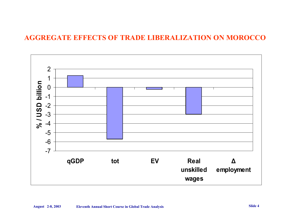### **AGGREGATE EFFECTS OF TRADE LIBERALIZATION ON MOROCCO**

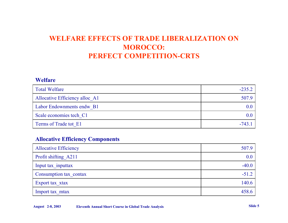### **WELFARE EFFECTS OF TRADE LIBERALIZATION ON MOROCCO: PERFECT COMPETITION-CRTS**

#### **Welfare**

| <b>Total Welfare</b>           | $-235.2$ |
|--------------------------------|----------|
| Allocative Efficiency alloc A1 | 507.9    |
| Labor Endownments endw B1      |          |
| Scale economies tech C1        |          |
| Terms of Trade tot E1          | -743     |

### **Allocative Efficiency Components**

| <b>Allocative Efficiency</b> | 507.9   |
|------------------------------|---------|
| Profit shifting A211         | 0.0     |
| Input tax inputtax           | $-40.0$ |
| Consumption tax contax       | $-51.2$ |
| Export tax xtax              | 140.6   |
| Import tax mtax              | 458.6   |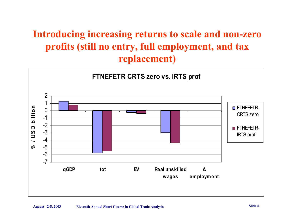## **Introducing increasing returns to scale and non-zero profits (still no entry, full employment, and tax replacement)**

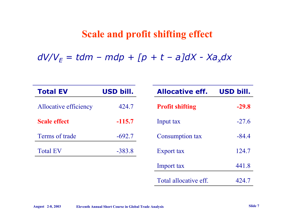### **Scale and profit shifting effect**

*dV/VE = tdm – mdp + [p + t – a]dX - Xaxdx*

| <b>Total EV</b>       | <b>USD bill.</b> | <b>Allocative eff.</b> | <b>USD bill.</b> |
|-----------------------|------------------|------------------------|------------------|
| Allocative efficiency | 424.7            | <b>Profit shifting</b> | $-29.8$          |
| <b>Scale effect</b>   | $-115.7$         | Input tax              | $-27.6$          |
| Terms of trade        | $-692.7$         | Consumption tax        | $-84.4$          |
| <b>Total EV</b>       | $-383.8$         | Export tax             | 124.7            |
|                       |                  | Import tax             | 441.8            |
|                       |                  | Total allocative eff.  | 424.7            |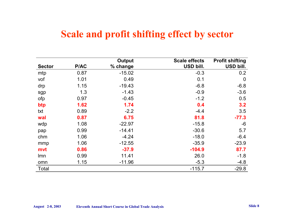## **Scale and profit shifting effect by sector**

|               |      | <b>Output</b> | <b>Scale effects</b> | <b>Profit shifting</b> |
|---------------|------|---------------|----------------------|------------------------|
| <b>Sector</b> | P/AC | % change      | USD bill.            | USD bill.              |
| mtp           | 0.87 | $-15.02$      | $-0.3$               | 0.2                    |
| vof           | 1.01 | 0.49          | 0.1                  | $\mathbf 0$            |
| drp           | 1.15 | $-19.43$      | $-6.8$               | $-6.8$                 |
| sgp           | 1.3  | $-1.43$       | $-0.9$               | $-3.6$                 |
| ofp           | 0.97 | $-0.45$       | $-1.2$               | 0.5                    |
| btp           | 1.62 | 1.74          | 0.4                  | 3.2                    |
| txt           | 0.89 | $-2.2$        | $-4.4$               | 3.5                    |
| wal           | 0.87 | 6.75          | 81.8                 | $-77.3$                |
| wdp           | 1.08 | $-22.97$      | $-15.8$              | $-6$                   |
| pap           | 0.99 | $-14.41$      | $-30.6$              | 5.7                    |
| chm           | 1.06 | $-4.24$       | $-18.0$              | $-6.4$                 |
| mmp           | 1.06 | $-12.55$      | $-35.9$              | $-23.9$                |
| mvt           | 0.86 | $-37.9$       | $-104.9$             | 87.7                   |
| <b>Imn</b>    | 0.99 | 11.41         | 26.0                 | $-1.8$                 |
| omn           | 1.15 | $-11.96$      | $-5.3$               | $-4.8$                 |
| Total         |      |               | $-115.7$             | $-29.8$                |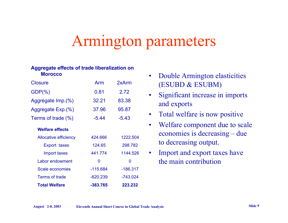# Armington parameters

#### **Aggregate effects of trade liberalization on Morocco**

| Closure                      | Arm        | 2xArm      |
|------------------------------|------------|------------|
| $GDP(\% )$                   | 0.81       | 2.72       |
| Aggregate Imp.(%)            | 32.21      | 83.38      |
| Aggregate Exp.(%)            | 37.96      | 95.87      |
| Terms of trade (%)           | $-5.44$    | $-5.43$    |
| <b>Welfare effects</b>       |            |            |
| <b>Allocative efficiency</b> | 424.666    | 1222.504   |
| <b>Export taxes</b>          | 124.65     | 298.782    |
| Import taxes                 | 441.774    | 1144.526   |
| Labor endowment              | 0          | O          |
| Scale economies              | $-115.684$ | $-186.317$ |
| Terms of trade               | $-620.239$ | $-743.024$ |
| <b>Total Welfare</b>         | -383.765   | 223.232    |

- • Double Armington elasticities (ESUBD & ESUBM)
- • Significant increase in imports and exports
- Total welfare is now positive
- $\bullet$  Welfare component due to scale economies is decreasing – due to decreasing output.
- • Import and export taxes have the main contribution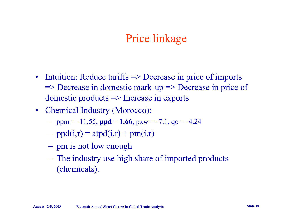## Price linkage

- Intuition: Reduce tariffs => Decrease in price of imports => Decrease in domestic mark-up => Decrease in price of domestic products => Increase in exports
- Chemical Industry (Morocco):
	- $-$  ppm =  $-11.55$ , **ppd = 1.66**, pxw =  $-7.1$ , qo =  $-4.24$
	- $-$  ppd(i,r) = atpd(i,r) + pm(i,r)
	- $\mathcal{L}_{\mathcal{A}}$ pm is not low enough
	- $\mathcal{L}_{\mathcal{A}}$  The industry use high share of imported products (chemicals).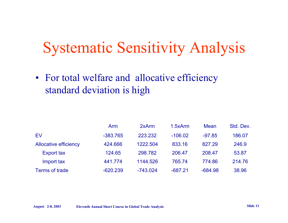# Systematic Sensitivity Analysis

• For total welfare and allocative efficiency standard deviation is high

|                              | Arm        | 2xArm      | 1.5xArm   | Mean      | Std. Dev. |
|------------------------------|------------|------------|-----------|-----------|-----------|
| EV                           | $-383.765$ | 223.232    | $-106.02$ | $-97.85$  | 186.07    |
| <b>Allocative efficiency</b> | 424.666    | 1222.504   | 833.16    | 827.29    | 246.9     |
| <b>Export tax</b>            | 124.65     | 298.782    | 206.47    | 208.47    | 53.87     |
| Import tax                   | 441.774    | 1144.526   | 765.74    | 774.86    | 214.76    |
| <b>Terms of trade</b>        | $-620.239$ | $-743.024$ | $-687.21$ | $-684.98$ | 38.96     |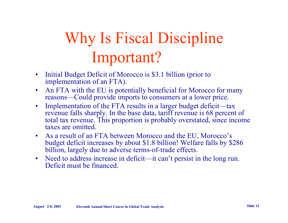# Why Is Fiscal Discipline Important?

- $\bullet$  Initial Budget Deficit of Morocco is \$3.1 billion (prior to implementation of an FTA).
- $\bullet$  An FTA with the EU is potentially beneficial for Morocco for many reasons—Could provide imports to consumers at a lower price.
- $\bullet$  Implementation of the FTA results in a larger budget deficit—tax revenue falls sharply. In the base data, tariff revenue is 68 percent of total tax revenue. This proportion is probably overstated, since income taxes are omitted.
- $\bullet$  As a result of an FTA between Morocco and the EU, Morocco's budget deficit increases by about \$1.8 billion! Welfare falls by \$286 billion, largely due to adverse terms-of-trade effects.
- Need to address increase in deficit—it can't persist in the long run. Deficit must be financed.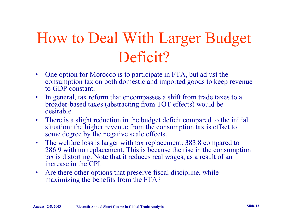# How to Deal With Larger Budget Deficit?

- $\bullet$  One option for Morocco is to participate in FTA, but adjust the consumption tax on both domestic and imported goods to keep revenue to GDP constant.
- $\bullet$  In general, tax reform that encompasses a shift from trade taxes to a broader-based taxes (abstracting from TOT effects) would be desirable.
- $\bullet$  There is a slight reduction in the budget deficit compared to the initial situation: the higher revenue from the consumption tax is offset to some degree by the negative scale effects.
- $\bullet$  The welfare loss is larger with tax replacement: 383.8 compared to 286.9 with no replacement. This is because the rise in the consumption tax is distorting. Note that it reduces real wages, as a result of an increase in the CPI.
- $\bullet$  Are there other options that preserve fiscal discipline, while maximizing the benefits from the FTA?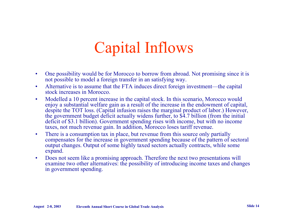# Capital Inflows

- • One possibility would be for Morocco to borrow from abroad. Not promising since it is not possible to model a foreign transfer in an satisfying way.
- • Alternative is to assume that the FTA induces direct foreign investment—the capital stock increases in Morocco.
- $\bullet$  Modelled a 10 percent increase in the capital stock. In this scenario, Morocco would enjoy a substantial welfare gain as a result of the increase in the endowment of capital, despite the TOT loss. (Capital infusion raises the marginal product of labor.) However, the government budget deficit actually widens further, to \$4.7 billion (from the initial deficit of \$3.1 billion). Government spending rises with income, but with no income taxes, not much revenue gain. In addition, Morocco loses tariff revenue.
- $\bullet$  There is a consumption tax in place, but revenue from this source only partially compensates for the increase in government spending because of the pattern of sectoral output changes. Output of some highly taxed sectors actually contracts, while some expand.
- • Does not seem like a promising approach. Therefore the next two presentations will examine two other alternatives: the possibility of introducing income taxes and changes in government spending.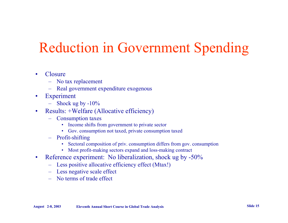# Reduction in Government Spending

#### •**Closure**

- No tax replacement
- Real government expenditure exogenous
- $\bullet$  Experiment
	- Shock ug by -10%
- $\bullet$  Results: +Welfare (Allocative efficiency)
	- Consumption taxes
		- Income shifts from government to private sector
		- Gov. consumption not taxed, private consumption taxed
	- Profit-shifting
		- Sectoral composition of priv. consumption differs from gov. consumption
		- Most profit-making sectors expand and loss-making contract
- $\bullet$  Reference experiment: No liberalization, shock ug by -50%
	- Less positive allocative efficiency effect (Mtax!)
	- Less negative scale effect
	- No terms of trade effect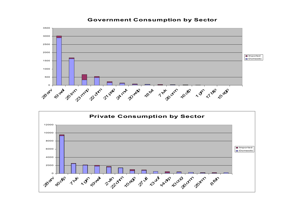#### **Government Consumption by Sector**



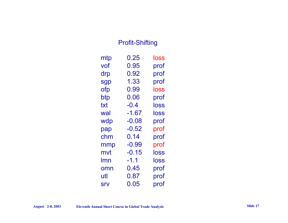### Profit-Shifting

| mtp | 0.25    | loss |
|-----|---------|------|
| vof | 0.95    | prof |
| drp | 0.92    | prof |
| sgp | 1.33    | prof |
| ofp | 0.99    | loss |
| btp | 0.06    | prof |
| txt | -0.4    | loss |
| wal | $-1.67$ | loss |
| wdp | $-0.08$ | prof |
| pap | $-0.52$ | prof |
| chm | 0.14    | prof |
| mmp | $-0.99$ | prof |
| mvt | $-0.15$ | loss |
| lmn | -1.1    | loss |
| omn | 0.45    | prof |
| utl | 0.87    | prof |
| Srv | 0.05    | prof |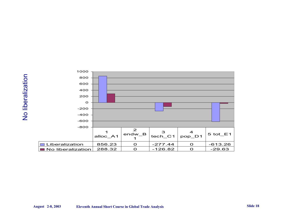

| 800                         |          |                            |              |                 |            |  |
|-----------------------------|----------|----------------------------|--------------|-----------------|------------|--|
| 600                         |          |                            |              |                 |            |  |
| 400                         |          |                            |              |                 |            |  |
| 200                         |          |                            |              |                 |            |  |
| $\mathbf{o}$                |          |                            |              |                 |            |  |
| $-200$                      |          |                            |              |                 |            |  |
| $-400$                      |          |                            |              |                 |            |  |
| -600                        |          |                            |              |                 |            |  |
| $-800$                      |          |                            |              |                 |            |  |
|                             | alloc_A1 | $\mathbf{2}$<br>$endw$ $B$ | 3<br>tech_C1 | 4<br>$pop$ $D1$ | $5$ tot_E1 |  |
| Liberalization              | 856.23   | $\Omega$                   | $-277.44$    | $\Omega$        | $-613.26$  |  |
| No liberalization<br>a sa B | 288.32   | $\Omega$                   | $-126.82$    | $\Omega$        | $-29.63$   |  |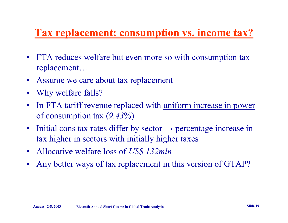## **Tax replacement: consumption vs. income tax?**

- $\bullet$  FTA reduces welfare but even more so with consumption tax replacement…
- •• Assume we care about tax replacement
- •Why welfare falls?
- •In FTA tariff revenue replaced with uniform increase in power of consumption tax (*9.43*%)
- $\bullet$ Initial cons tax rates differ by sector  $\rightarrow$  percentage increase in tax higher in sectors with initially higher taxes
- $\bullet$ Allocative welfare loss of *US\$ 132mln*
- •Any better ways of tax replacement in this version of GTAP?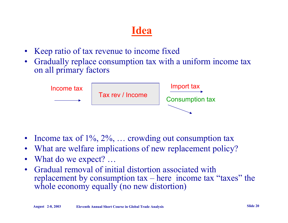## **Idea**

- •Keep ratio of tax revenue to income fixed
- $\bullet$  Gradually replace consumption tax with a uniform income tax on all primary factors



- $\bullet$ Income tax of  $1\%$ ,  $2\%$ , ... crowding out consumption tax
- •What are welfare implications of new replacement policy?
- •What do we expect? …
- $\bullet$  Gradual removal of initial distortion associated with replacement by consumption  $tax - here$  income  $tax$  "taxes" the whole economy equally (no new distortion)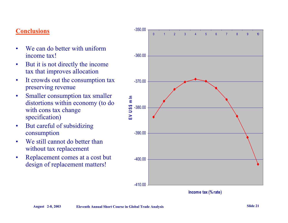### **Conclusions**

- • We can do better with uniform income tax!
- • But it is not directly the income tax that improves allocation
- • It crowds out the consumption tax preserving revenue
- • Smaller consumption tax smaller distortions within economy (to do with cons tax change specification)
- • But careful of subsidizing consumption
- •We still cannot do better than without tax replacement
- • Replacement comes at a cost but design of replacement matters!



**Income tax (% rate)**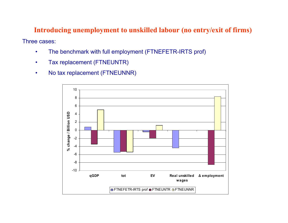### **Introducing unemployment to unskilled labour (no entry/exit of firms)**

Three cases:

- •The benchmark with full employment (FTNEFETR-IRTS prof)
- •Tax replacement (FTNEUNTR)
- •No tax replacement (FTNEUNNR)

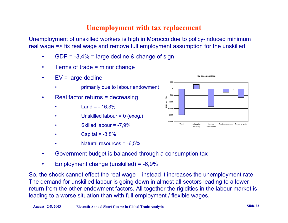### **Unemployment with tax replacement**

Unemployment of unskilled workers is high in Morocco due to policy-induced minimum real wage => fix real wage and remove full employment assumption for the unskilled

- •GDP =  $-3,4%$  = large decline & change of sign
- •Terms of trade = minor change
- • EV = large decline
	- •primarily due to labour endowment
- • Real factor returns = decreasing
	- • $Land = -16,3%$
	- •Unskilled labour = 0 (exog.)
	- •Skilled labour = -7,9%
	- •Capital  $= -8.8%$
	- •Natural resources = -6,5%
- •Government budget is balanced through a consumption tax
- •Employment change (unskilled) = -6,9%

So, the shock cannot effect the real wage – instead it increases the unemployment rate. The demand for unskilled labour is going down in almost all sectors leading to a lower return from the other endowment factors. All together the rigidities in the labour market is leading to a worse situation than with full employment / flexible wages.

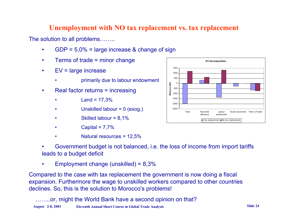### **Unemployment with NO tax replacement vs. tax replacement**

The solution to all problems……..

- •GDP = 5,0% = large increase & change of sign
- •Terms of trade = minor change
- •EV = large increase

•

- •primarily due to labour endowment
- • Real factor returns = increasing
	- • $Land = 17,3%$
	- •Unskilled labour = 0 (exog.)
	- •Skilled labour = 8,1%
	- •Capital =  $7,7%$
	- •Natural resources = 12,5%



Employment change (unskilled) = 8,3%

Compared to the case with tax replacement the government is now doing a fiscal expansion. Furthermore the wage to unskilled workers compared to other countries declines. So, this is the solution to Morocco's problems!

**August 2-8, 2003 Eleventh Annual Short Course in Global Trade Analysis Slide 24** or, might the World Bank have a second opinion on that?

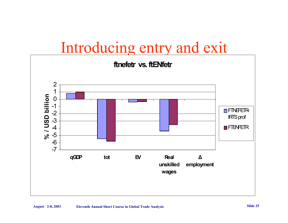# Introducing entry and exit

### **ftnefetr vs. ftENfetr**

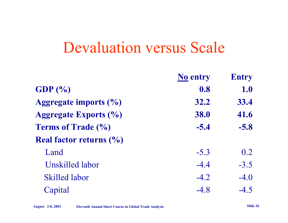# Devaluation versus Scale

|                                               | <b>No entry</b> | <b>Entry</b> |
|-----------------------------------------------|-----------------|--------------|
| GDP $(\% )$                                   | 0.8             | 1.0          |
| Aggregate imports $(\%$                       | 32.2            | 33.4         |
| <b>Aggregate Exports (%)</b>                  | 38.0            | 41.6         |
| <b>Terms of Trade (%)</b>                     | $-5.4$          | $-5.8$       |
| <b>Real factor returns <math>(\% )</math></b> |                 |              |
| Land                                          | $-5.3$          | 0.2          |
| <b>Unskilled labor</b>                        | $-4.4$          | $-3.5$       |
| <b>Skilled labor</b>                          | $-4.2$          | $-4.0$       |
| Capital                                       | $-4.8$          | $-4.5$       |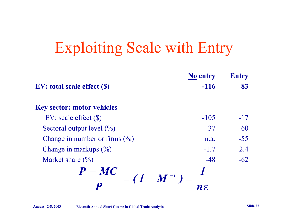# Exploiting Scale with Entry

|                                         | <b>No entry</b> | <b>Entry</b> |
|-----------------------------------------|-----------------|--------------|
| <b>EV</b> : total scale effect (\$)     | $-116$          | 83           |
| <b>Key sector: motor vehicles</b>       |                 |              |
| $EV: scale effect (\$)$                 | $-105$          | $-17$        |
| Sectoral output level $(\%)$            | $-37$           | $-60$        |
| Change in number or firms $(\%)$        | n.a.            | $-55$        |
| Change in markups $(\%$ )               | $-1.7$          | 2.4          |
| Market share $\left(\frac{0}{0}\right)$ | $-48$           | $-62$        |
| $P-MC$<br>$= (1 - M^{-1})$              |                 |              |
|                                         | N E.            |              |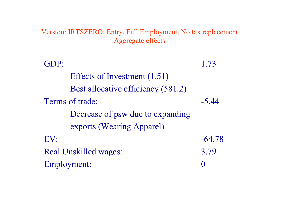Version: IRTSZERO, Entry, Full Employment, No tax replacement Aggregate effects

| GDP:                               | 1.73     |
|------------------------------------|----------|
| Effects of Investment (1.51)       |          |
| Best allocative efficiency (581.2) |          |
| Terms of trade:                    | $-5.44$  |
| Decrease of psw due to expanding   |          |
| exports (Wearing Apparel)          |          |
| EV:                                | $-64.78$ |
| <b>Real Unskilled wages:</b>       | 3.79     |
| Employment:                        |          |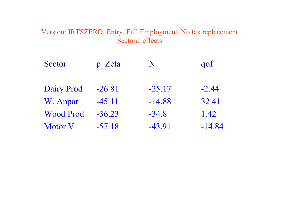### Version: IRTSZERO, Entry, Full Employment, No tax replacement Sectoral effects

| Sector            | p Zeta   | N        | gof      |
|-------------------|----------|----------|----------|
| <b>Dairy Prod</b> | $-26.81$ | $-25.17$ | $-2.44$  |
| W. Appar          | $-45.11$ | $-14.88$ | 32.41    |
| <b>Wood Prod</b>  | $-36.23$ | $-34.8$  | 1.42     |
| <b>Motor V</b>    | $-57.18$ | $-43.91$ | $-14.84$ |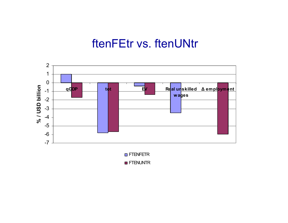## ftenFEtr vs. ftenUNtr



**D** FTENUNTR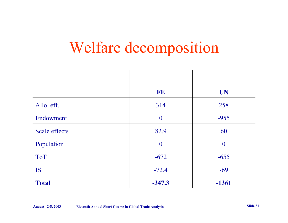# Welfare decomposition

|                      | FE               | <b>UN</b>      |
|----------------------|------------------|----------------|
| Allo. eff.           | 314              | 258            |
| Endowment            | $\boldsymbol{0}$ | $-955$         |
| <b>Scale effects</b> | 82.9             | 60             |
| Population           | $\theta$         | $\overline{0}$ |
| <b>ToT</b>           | $-672$           | $-655$         |
| <b>IS</b>            | $-72.4$          | $-69$          |
| <b>Total</b>         | $-347.3$         | $-1361$        |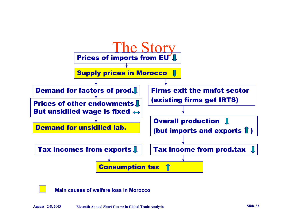